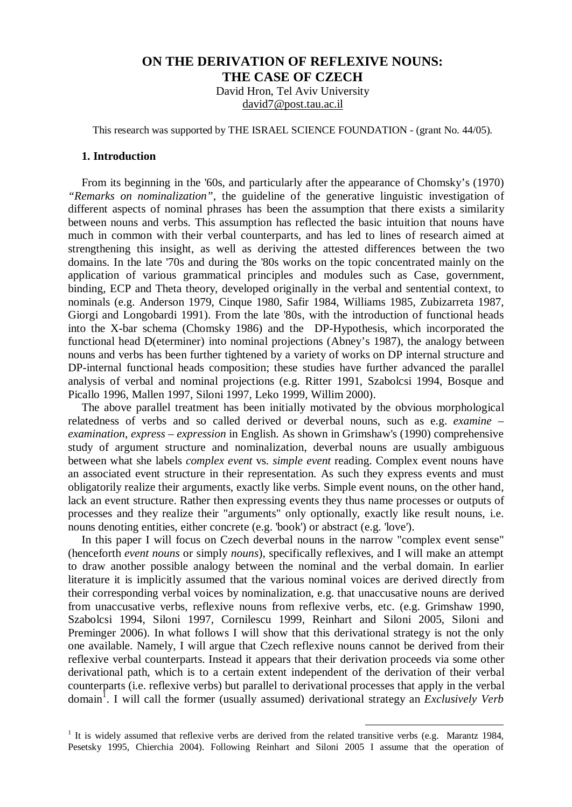# **ON THE DERIVATION OF REFLEXIVE NOUNS: THE CASE OF CZECH**

David Hron, Tel Aviv University [david7@post.tau.ac.il](mailto:david7@post.tau.ac.il)

This research was supported by THE ISRAEL SCIENCE FOUNDATION - (grant No. 44/05).

### **1. Introduction**

From its beginning in the '60s, and particularly after the appearance of Chomsky's (1970) *"Remarks on nominalization"*, the guideline of the generative linguistic investigation of different aspects of nominal phrases has been the assumption that there exists a similarity between nouns and verbs. This assumption has reflected the basic intuition that nouns have much in common with their verbal counterparts, and has led to lines of research aimed at strengthening this insight, as well as deriving the attested differences between the two domains. In the late '70s and during the '80s works on the topic concentrated mainly on the application of various grammatical principles and modules such as Case, government, binding, ECP and Theta theory, developed originally in the verbal and sentential context, to nominals (e.g. Anderson 1979, Cinque 1980, Safir 1984, Williams 1985, Zubizarreta 1987, Giorgi and Longobardi 1991). From the late '80s, with the introduction of functional heads into the X-bar schema (Chomsky 1986) and the DP-Hypothesis, which incorporated the functional head D(eterminer) into nominal projections (Abney's 1987), the analogy between nouns and verbs has been further tightened by a variety of works on DP internal structure and DP-internal functional heads composition; these studies have further advanced the parallel analysis of verbal and nominal projections (e.g. Ritter 1991, Szabolcsi 1994, Bosque and Picallo 1996, Mallen 1997, Siloni 1997, Leko 1999, Willim 2000).

The above parallel treatment has been initially motivated by the obvious morphological relatedness of verbs and so called derived or deverbal nouns, such as e.g. *examine* – *examination*, *express* – *expression* in English. As shown in Grimshaw's (1990) comprehensive study of argument structure and nominalization, deverbal nouns are usually ambiguous between what she labels *complex event* vs. *simple event* reading. Complex event nouns have an associated event structure in their representation. As such they express events and must obligatorily realize their arguments, exactly like verbs. Simple event nouns, on the other hand, lack an event structure. Rather then expressing events they thus name processes or outputs of processes and they realize their "arguments" only optionally, exactly like result nouns, i.e. nouns denoting entities, either concrete (e.g. 'book') or abstract (e.g. 'love').

In this paper I will focus on Czech deverbal nouns in the narrow "complex event sense" (henceforth *event nouns* or simply *nouns*), specifically reflexives, and I will make an attempt to draw another possible analogy between the nominal and the verbal domain. In earlier literature it is implicitly assumed that the various nominal voices are derived directly from their corresponding verbal voices by nominalization, e.g. that unaccusative nouns are derived from unaccusative verbs, reflexive nouns from reflexive verbs, etc. (e.g. Grimshaw 1990, Szabolcsi 1994, Siloni 1997, Cornilescu 1999, Reinhart and Siloni 2005, Siloni and Preminger 2006). In what follows I will show that this derivational strategy is not the only one available. Namely, I will argue that Czech reflexive nouns cannot be derived from their reflexive verbal counterparts. Instead it appears that their derivation proceeds via some other derivational path, which is to a certain extent independent of the derivation of their verbal counterparts (i.e. reflexive verbs) but parallel to derivational processes that apply in the verbal domain<sup>1</sup>. I will call the former (usually assumed) derivational strategy an *Exclusively Verb* 

<sup>&</sup>lt;sup>1</sup> It is widely assumed that reflexive verbs are derived from the related transitive verbs (e.g. Marantz 1984, Pesetsky 1995, Chierchia 2004). Following Reinhart and Siloni 2005 I assume that the operation of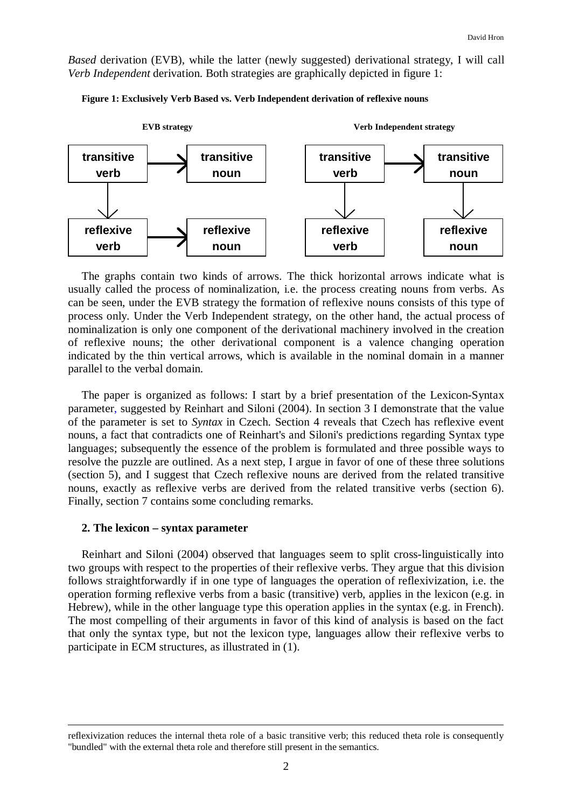*Based* derivation (EVB), while the latter (newly suggested) derivational strategy, I will call *Verb Independent* derivation. Both strategies are graphically depicted in figure 1:



**Figure 1: Exclusively Verb Based vs. Verb Independent derivation of reflexive nouns**

The graphs contain two kinds of arrows. The thick horizontal arrows indicate what is usually called the process of nominalization, i.e. the process creating nouns from verbs. As can be seen, under the EVB strategy the formation of reflexive nouns consists of this type of process only. Under the Verb Independent strategy, on the other hand, the actual process of nominalization is only one component of the derivational machinery involved in the creation of reflexive nouns; the other derivational component is a valence changing operation indicated by the thin vertical arrows, which is available in the nominal domain in a manner parallel to the verbal domain.

The paper is organized as follows: I start by a brief presentation of the Lexicon-Syntax parameter, suggested by Reinhart and Siloni (2004). In section 3 I demonstrate that the value of the parameter is set to *Syntax* in Czech. Section 4 reveals that Czech has reflexive event nouns, a fact that contradicts one of Reinhart's and Siloni's predictions regarding Syntax type languages; subsequently the essence of the problem is formulated and three possible ways to resolve the puzzle are outlined. As a next step, I argue in favor of one of these three solutions (section 5), and I suggest that Czech reflexive nouns are derived from the related transitive nouns, exactly as reflexive verbs are derived from the related transitive verbs (section 6). Finally, section 7 contains some concluding remarks.

### **2. The lexicon – syntax parameter**

<u>.</u>

Reinhart and Siloni (2004) observed that languages seem to split cross-linguistically into two groups with respect to the properties of their reflexive verbs. They argue that this division follows straightforwardly if in one type of languages the operation of reflexivization, i.e. the operation forming reflexive verbs from a basic (transitive) verb, applies in the lexicon (e.g. in Hebrew), while in the other language type this operation applies in the syntax (e.g. in French). The most compelling of their arguments in favor of this kind of analysis is based on the fact that only the syntax type, but not the lexicon type, languages allow their reflexive verbs to participate in ECM structures, as illustrated in (1).

reflexivization reduces the internal theta role of a basic transitive verb; this reduced theta role is consequently "bundled" with the external theta role and therefore still present in the semantics.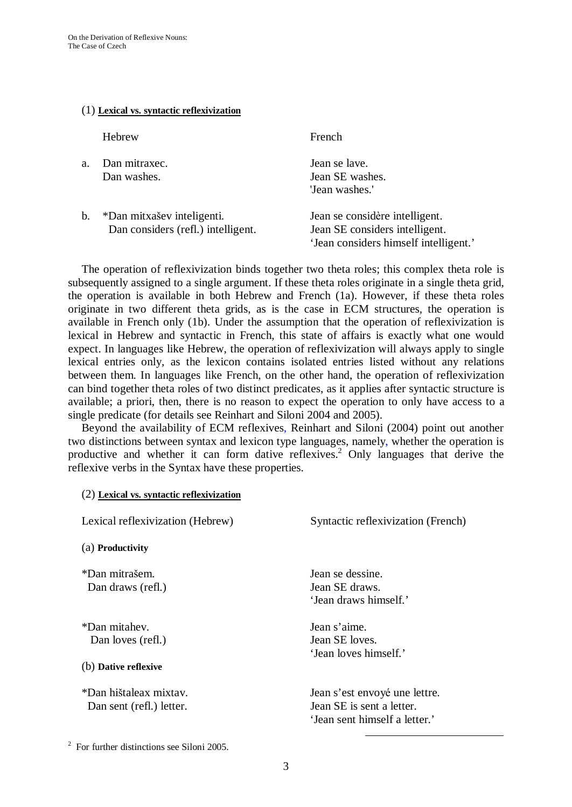### (1) **Lexical vs. syntactic reflexivization**

Hebrew French

| $a_{-}$ | Dan mitraxec.<br>Dan washes. | Jean se lave.<br>Jean SE washes.<br>'Jean washes.' |
|---------|------------------------------|----------------------------------------------------|
|         | $*$ Dan mityašev inteligenti | Lean se considère intellige                        |

b. \*Dan mitxašev inteligenti. Jean se considère intelligent. Dan considers (refl.) intelligent. Jean SE considers intelligent.

'Jean considers himself intelligent.'

The operation of reflexivization binds together two theta roles; this complex theta role is subsequently assigned to a single argument. If these theta roles originate in a single theta grid, the operation is available in both Hebrew and French (1a). However, if these theta roles originate in two different theta grids, as is the case in ECM structures, the operation is available in French only (1b). Under the assumption that the operation of reflexivization is lexical in Hebrew and syntactic in French, this state of affairs is exactly what one would expect. In languages like Hebrew, the operation of reflexivization will always apply to single lexical entries only, as the lexicon contains isolated entries listed without any relations between them. In languages like French, on the other hand, the operation of reflexivization can bind together theta roles of two distinct predicates, as it applies after syntactic structure is available; a priori, then, there is no reason to expect the operation to only have access to a single predicate (for details see Reinhart and Siloni 2004 and 2005).

Beyond the availability of ECM reflexives, Reinhart and Siloni (2004) point out another two distinctions between syntax and lexicon type languages, namely, whether the operation is productive and whether it can form dative reflexives. <sup>2</sup> Only languages that derive the reflexive verbs in the Syntax have these properties.

| Lexical reflexivization (Hebrew)                           | Syntactic reflexivization (French)                                                          |
|------------------------------------------------------------|---------------------------------------------------------------------------------------------|
| (a) Productivity                                           |                                                                                             |
| *Dan mitrašem.<br>Dan draws (refl.)                        | Jean se dessine.<br>Jean SE draws.<br>'Jean draws himself.'                                 |
| *Dan mitahev.<br>Dan loves (refl.)<br>(b) Dative reflexive | Jean s'aime.<br>Jean SE loves.<br>'Jean loves himself.'                                     |
| *Dan hištaleax mixtav.<br>Dan sent (refl.) letter.         | Jean s'est envoyé une lettre.<br>Jean SE is sent a letter.<br>'Jean sent himself a letter.' |

<sup>&</sup>lt;sup>2</sup> For further distinctions see Siloni 2005.

(2) **Lexical vs. syntactic reflexivization**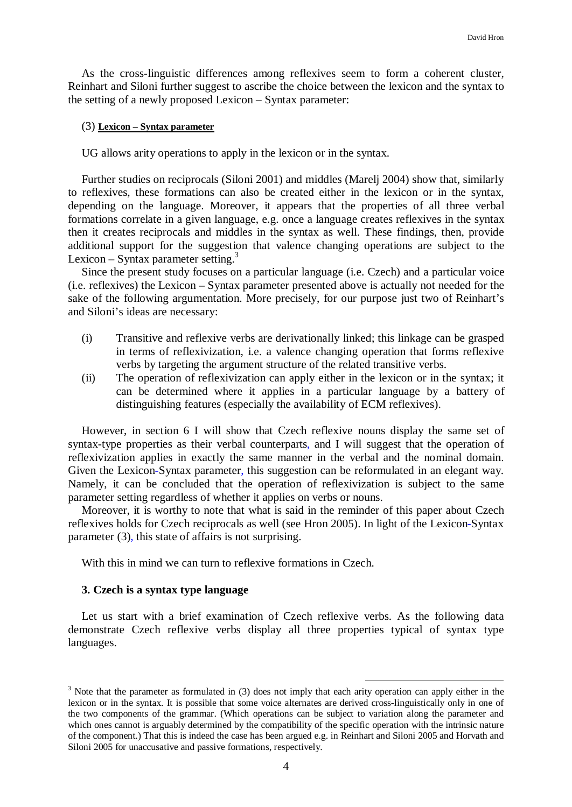As the cross-linguistic differences among reflexives seem to form a coherent cluster, Reinhart and Siloni further suggest to ascribe the choice between the lexicon and the syntax to the setting of a newly proposed Lexicon – Syntax parameter:

### (3) **Lexicon – Syntax parameter**

UG allows arity operations to apply in the lexicon or in the syntax.

Further studies on reciprocals (Siloni 2001) and middles (Marelj 2004) show that, similarly to reflexives, these formations can also be created either in the lexicon or in the syntax, depending on the language. Moreover, it appears that the properties of all three verbal formations correlate in a given language, e.g. once a language creates reflexives in the syntax then it creates reciprocals and middles in the syntax as well. These findings, then, provide additional support for the suggestion that valence changing operations are subject to the Lexicon – Syntax parameter setting. $3$ 

Since the present study focuses on a particular language (i.e. Czech) and a particular voice (i.e. reflexives) the Lexicon – Syntax parameter presented above is actually not needed for the sake of the following argumentation. More precisely, for our purpose just two of Reinhart's and Siloni's ideas are necessary:

- (i) Transitive and reflexive verbs are derivationally linked; this linkage can be grasped in terms of reflexivization, i.e. a valence changing operation that forms reflexive verbs by targeting the argument structure of the related transitive verbs.
- (ii) The operation of reflexivization can apply either in the lexicon or in the syntax; it can be determined where it applies in a particular language by a battery of distinguishing features (especially the availability of ECM reflexives).

However, in section 6 I will show that Czech reflexive nouns display the same set of syntax-type properties as their verbal counterparts, and I will suggest that the operation of reflexivization applies in exactly the same manner in the verbal and the nominal domain. Given the Lexicon-Syntax parameter, this suggestion can be reformulated in an elegant way. Namely, it can be concluded that the operation of reflexivization is subject to the same parameter setting regardless of whether it applies on verbs or nouns.

Moreover, it is worthy to note that what is said in the reminder of this paper about Czech reflexives holds for Czech reciprocals as well (see Hron 2005). In light of the Lexicon-Syntax parameter (3), this state of affairs is not surprising.

With this in mind we can turn to reflexive formations in Czech.

## **3. Czech is a syntax type language**

Let us start with a brief examination of Czech reflexive verbs. As the following data demonstrate Czech reflexive verbs display all three properties typical of syntax type languages.

<sup>&</sup>lt;sup>3</sup> Note that the parameter as formulated in (3) does not imply that each arity operation can apply either in the lexicon or in the syntax. It is possible that some voice alternates are derived cross-linguistically only in one of the two components of the grammar. (Which operations can be subject to variation along the parameter and which ones cannot is arguably determined by the compatibility of the specific operation with the intrinsic nature of the component.) That this is indeed the case has been argued e.g. in Reinhart and Siloni 2005 and Horvath and Siloni 2005 for unaccusative and passive formations, respectively.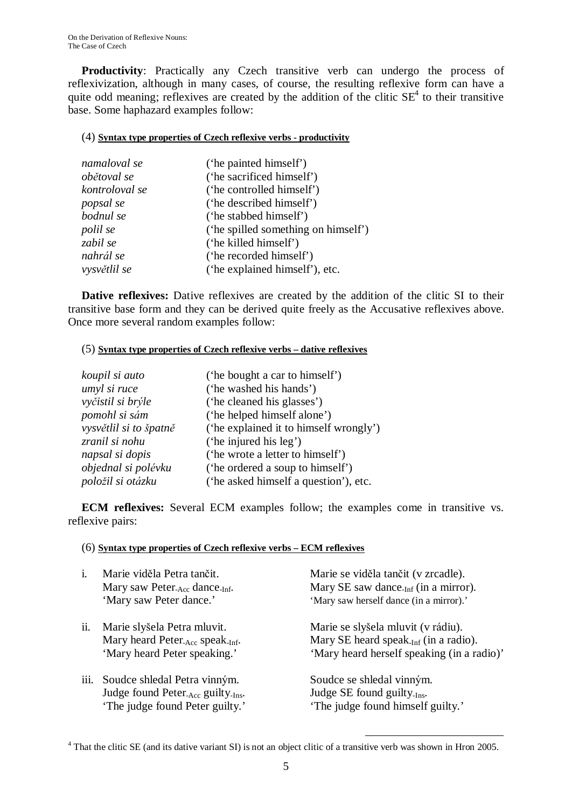**Productivity**: Practically any Czech transitive verb can undergo the process of reflexivization, although in many cases, of course, the resulting reflexive form can have a quite odd meaning; reflexives are created by the addition of the clitic  $SE<sup>4</sup>$  to their transitive base. Some haphazard examples follow:

## (4) **Syntax type properties of Czech reflexive verbs - productivity**

| namaloval se   | ('he painted himself')              |
|----------------|-------------------------------------|
| obětoval se    | ('he sacrificed himself')           |
| kontroloval se | ('he controlled himself')           |
| popsal se      | ('he described himself')            |
| bodnul se      | ('he stabbed himself')              |
| polil se       | ('he spilled something on himself') |
| zabil se       | ('he killed himself')               |
| nahrál se      | ('he recorded himself')             |
| vysvětlil se   | ('he explained himself'), etc.      |

**Dative reflexives:** Dative reflexives are created by the addition of the clitic SI to their transitive base form and they can be derived quite freely as the Accusative reflexives above. Once more several random examples follow:

## (5) **Syntax type properties of Czech reflexive verbs – dative reflexives**

| koupil si auto         | ('he bought a car to himself')         |
|------------------------|----------------------------------------|
| umyl si ruce           | ('he washed his hands')                |
| vyčistil si brýle      | ('he cleaned his glasses')             |
| pomohl si sám          | ('he helped himself alone')            |
| vysvětlil si to špatně | ('he explained it to himself wrongly') |
| zranil si nohu         | ('he injured his leg')                 |
| napsal si dopis        | ('he wrote a letter to himself')       |
| objednal si polévku    | ('he ordered a soup to himself')       |
| položil si otázku      | ('he asked himself a question'), etc.  |

**ECM reflexives:** Several ECM examples follow; the examples come in transitive vs. reflexive pairs:

## (6) **Syntax type properties of Czech reflexive verbs – ECM reflexives**

| i.   | Marie viděla Petra tančit.<br>Mary saw Peter <sub>-Acc</sub> dance <sub>-Inf</sub> .<br>'Mary saw Peter dance.'         | Marie se viděla tančit (v zrcadle).<br>Mary SE saw dance <sub>-Inf</sub> (in a mirror).<br>'Mary saw herself dance (in a mirror).' |
|------|-------------------------------------------------------------------------------------------------------------------------|------------------------------------------------------------------------------------------------------------------------------------|
| ii.  | Marie slyšela Petra mluvit.<br>Mary heard Peter <sub>-Acc</sub> speak <sub>-Inf</sub> .<br>'Mary heard Peter speaking.' | Marie se slyšela mluvit (v rádiu).<br>Mary SE heard speak. $_{Inf}$ (in a radio).<br>'Mary heard herself speaking (in a radio)'    |
| 111. | Soudce shledal Petra vinným.<br>Judge found Peter <sub>-Acc</sub> guilty-Ins.<br>'The judge found Peter guilty.'        | Soudce se shledal vinným.<br>Judge SE found guilty- $_{Ins.}$<br>'The judge found himself guilty.'                                 |

<sup>&</sup>lt;sup>4</sup> That the clitic SE (and its dative variant SI) is not an object clitic of a transitive verb was shown in Hron 2005.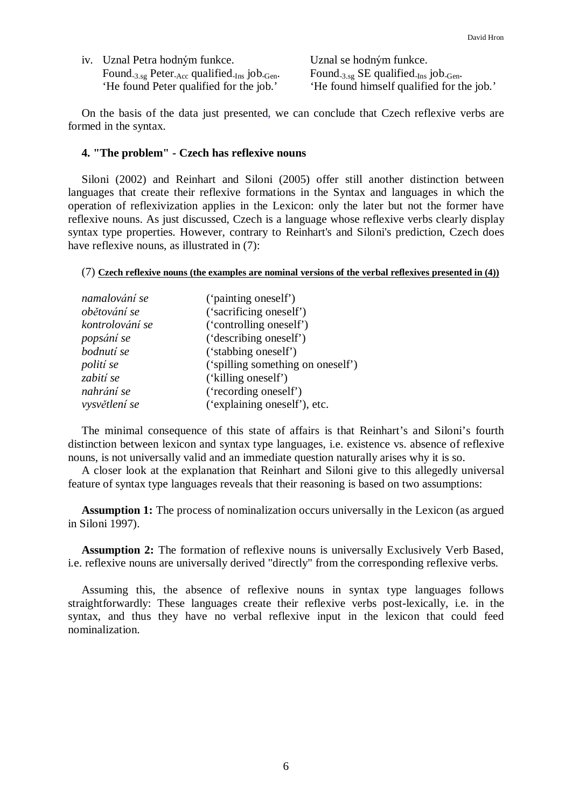| iv. Uznal Petra hodným funkce.                                      | Uznal se hodným funkce.                                                   |
|---------------------------------------------------------------------|---------------------------------------------------------------------------|
| Found $_{3.\text{sg}}$ Peter Acc qualified $_{\text{Ins}}$ job Gen. | Found $_{3.\text{sg}}$ SE qualified $_{\text{Ins}}$ job $_{\text{Gen}}$ . |
| 'He found Peter qualified for the job.'                             | 'He found himself qualified for the job.'                                 |

On the basis of the data just presented, we can conclude that Czech reflexive verbs are formed in the syntax.

### **4. "The problem" - Czech has reflexive nouns**

Siloni (2002) and Reinhart and Siloni (2005) offer still another distinction between languages that create their reflexive formations in the Syntax and languages in which the operation of reflexivization applies in the Lexicon: only the later but not the former have reflexive nouns. As just discussed, Czech is a language whose reflexive verbs clearly display syntax type properties. However, contrary to Reinhart's and Siloni's prediction, Czech does have reflexive nouns, as illustrated in  $(7)$ :

#### (7) **Czech reflexive nouns (the examples are nominal versions of the verbal reflexives presented in (4))**

| namalování se   | ('painting oneself')              |
|-----------------|-----------------------------------|
| obětování se    | ('sacrificing oneself')           |
| kontrolování se | ('controlling oneself')           |
| popsání se      | ('describing oneself')            |
| bodnutí se      | ('stabbing oneself')              |
| polití se       | ('spilling something on oneself') |
| zabití se       | ('killing oneself')               |
| nahrání se      | ('recording oneself')             |
| vysvětlení se   | ('explaining oneself'), etc.      |

The minimal consequence of this state of affairs is that Reinhart's and Siloni's fourth distinction between lexicon and syntax type languages, i.e. existence vs. absence of reflexive nouns, is not universally valid and an immediate question naturally arises why it is so.

A closer look at the explanation that Reinhart and Siloni give to this allegedly universal feature of syntax type languages reveals that their reasoning is based on two assumptions:

**Assumption 1:** The process of nominalization occurs universally in the Lexicon (as argued in Siloni 1997).

**Assumption 2:** The formation of reflexive nouns is universally Exclusively Verb Based, i.e. reflexive nouns are universally derived "directly" from the corresponding reflexive verbs.

Assuming this, the absence of reflexive nouns in syntax type languages follows straightforwardly: These languages create their reflexive verbs post-lexically, i.e. in the syntax, and thus they have no verbal reflexive input in the lexicon that could feed nominalization.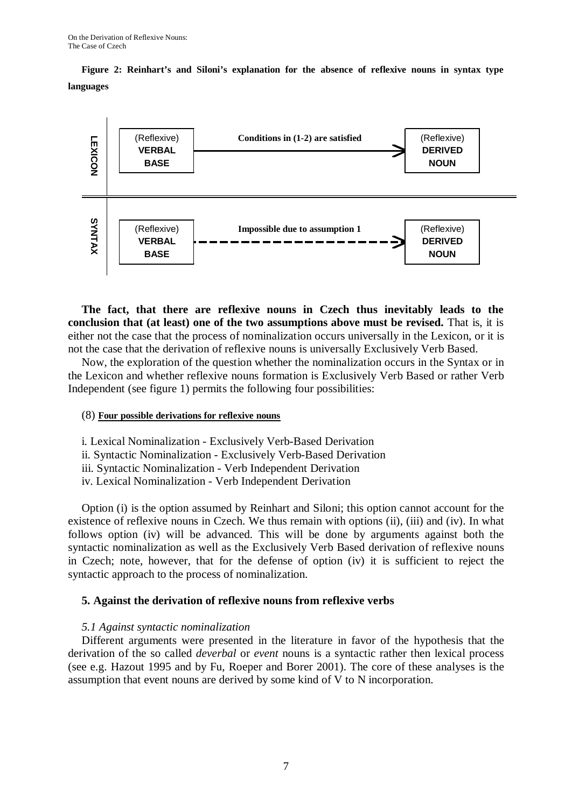**Figure 2: Reinhart's and Siloni's explanation for the absence of reflexive nouns in syntax type languages**



**The fact, that there are reflexive nouns in Czech thus inevitably leads to the conclusion that (at least) one of the two assumptions above must be revised.** That is, it is either not the case that the process of nominalization occurs universally in the Lexicon, or it is not the case that the derivation of reflexive nouns is universally Exclusively Verb Based.

Now, the exploration of the question whether the nominalization occurs in the Syntax or in the Lexicon and whether reflexive nouns formation is Exclusively Verb Based or rather Verb Independent (see figure 1) permits the following four possibilities:

## (8) **Four possible derivations for reflexive nouns**

- i. Lexical Nominalization Exclusively Verb-Based Derivation
- ii. Syntactic Nominalization Exclusively Verb-Based Derivation
- iii. Syntactic Nominalization Verb Independent Derivation
- iv. Lexical Nominalization Verb Independent Derivation

Option (i) is the option assumed by Reinhart and Siloni; this option cannot account for the existence of reflexive nouns in Czech. We thus remain with options (ii), (iii) and (iv). In what follows option (iv) will be advanced. This will be done by arguments against both the syntactic nominalization as well as the Exclusively Verb Based derivation of reflexive nouns in Czech; note, however, that for the defense of option (iv) it is sufficient to reject the syntactic approach to the process of nominalization.

# **5. Against the derivation of reflexive nouns from reflexive verbs**

## *5.1 Against syntactic nominalization*

Different arguments were presented in the literature in favor of the hypothesis that the derivation of the so called *deverbal* or *event* nouns is a syntactic rather then lexical process (see e.g. Hazout 1995 and by Fu, Roeper and Borer 2001). The core of these analyses is the assumption that event nouns are derived by some kind of V to N incorporation.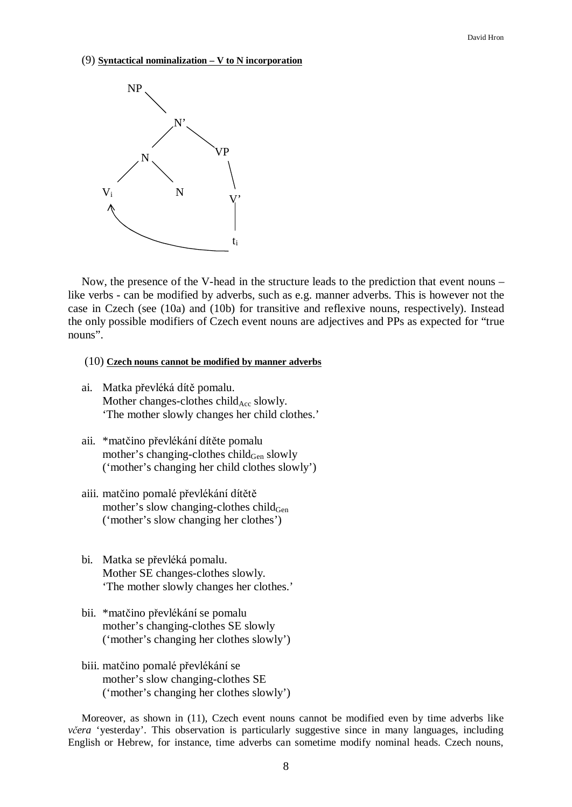#### (9) **Syntactical nominalization – V to N incorporation**



Now, the presence of the V-head in the structure leads to the prediction that event nouns – like verbs - can be modified by adverbs, such as e.g. manner adverbs. This is however not the case in Czech (see (10a) and (10b) for transitive and reflexive nouns, respectively). Instead the only possible modifiers of Czech event nouns are adjectives and PPs as expected for "true nouns".

### (10) **Czech nouns cannot be modified by manner adverbs**

- ai. Matka převléká dítě pomalu. Mother changes-clothes child $_{Acc}$  slowly. 'The mother slowly changes her child clothes.'
- aii. \*matčino převlékání dítěte pomalu mother's changing-clothes child<sub>Gen</sub> slowly ('mother's changing her child clothes slowly')
- aiii. matčino pomalé převlékání dítětě mother's slow changing-clothes child $_{Gen}$ ('mother's slow changing her clothes')
- bi. Matka se převléká pomalu. Mother SE changes-clothes slowly. 'The mother slowly changes her clothes.'
- bii. \*matčino převlékání se pomalu mother's changing-clothes SE slowly ('mother's changing her clothes slowly')
- biii. matčino pomalé převlékání se mother's slow changing-clothes SE ('mother's changing her clothes slowly')

Moreover, as shown in (11), Czech event nouns cannot be modified even by time adverbs like *včera* 'yesterday'. This observation is particularly suggestive since in many languages, including English or Hebrew, for instance, time adverbs can sometime modify nominal heads. Czech nouns,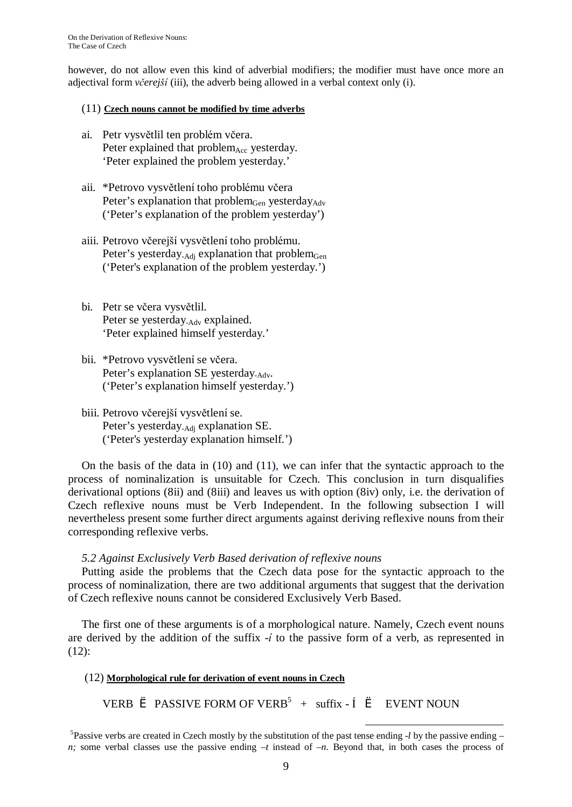however, do not allow even this kind of adverbial modifiers; the modifier must have once more an adjectival form *včerejší* (iii), the adverb being allowed in a verbal context only (i).

## (11) **Czech nouns cannot be modified by time adverbs**

- ai. Petr vysvětlil ten problém včera. Peter explained that  $problem_{Acc}$  yesterday. 'Peter explained the problem yesterday.'
- aii. \*Petrovo vysvětlení toho problému včera Peter's explanation that problem<sub>Gen</sub> yesterday<sub>Adv</sub> ('Peter's explanation of the problem yesterday')
- aiii. Petrovo včerejší vysvětlení toho problému. Peter's yesterday<sub>-Adj</sub> explanation that problem<sub>Gen</sub> ('Peter's explanation of the problem yesterday.')
- bi. Petr se včera vysvětlil. Peter se yesterday-Adv explained. 'Peter explained himself yesterday.'
- bii. \*Petrovo vysvětlení se včera. Peter's explanation SE yesterday<sub>-Adv</sub>. ('Peter's explanation himself yesterday.')
- biii. Petrovo včerejší vysvětlení se. Peter's yesterday-Adj explanation SE. ('Peter's yesterday explanation himself.')

On the basis of the data in (10) and (11), we can infer that the syntactic approach to the process of nominalization is unsuitable for Czech. This conclusion in turn disqualifies derivational options (8ii) and (8iii) and leaves us with option (8iv) only, i.e. the derivation of Czech reflexive nouns must be Verb Independent. In the following subsection I will nevertheless present some further direct arguments against deriving reflexive nouns from their corresponding reflexive verbs.

# *5.2 Against Exclusively Verb Based derivation of reflexive nouns*

Putting aside the problems that the Czech data pose for the syntactic approach to the process of nominalization, there are two additional arguments that suggest that the derivation of Czech reflexive nouns cannot be considered Exclusively Verb Based.

The first one of these arguments is of a morphological nature. Namely, Czech event nouns are derived by the addition of the suffix -*í* to the passive form of a verb, as represented in (12):

# (12) **Morphological rule for derivation of event nouns in Czech**

VERB  $\triangle$  PASSIVE FORM OF VERB<sup>5</sup> + suffix -  $\acute{I}$   $\triangle$  EVENT NOUN

 $\overline{a}$ 5 Passive verbs are created in Czech mostly by the substitution of the past tense ending *-l* by the passive ending *– n;* some verbal classes use the passive ending −*t* instead of −*n*. Beyond that, in both cases the process of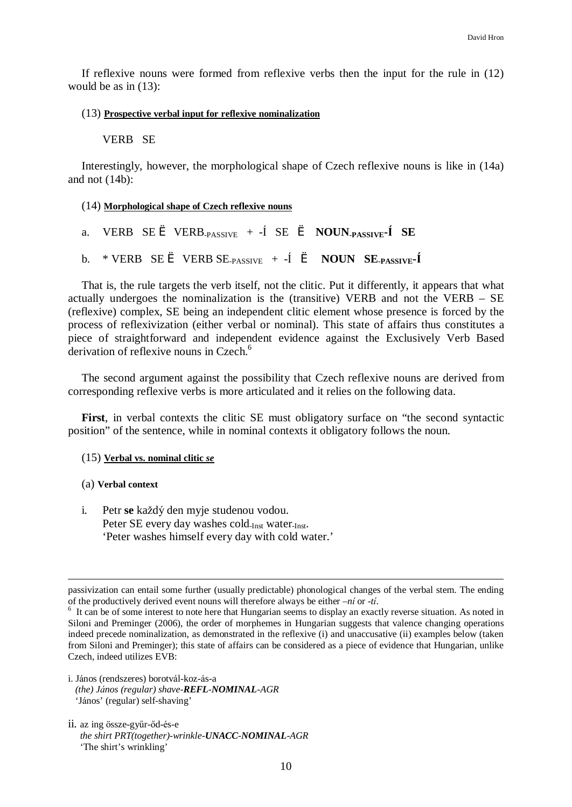If reflexive nouns were formed from reflexive verbs then the input for the rule in (12) would be as in (13):

### (13) **Prospective verbal input for reflexive nominalization**

### VERB SE

Interestingly, however, the morphological shape of Czech reflexive nouns is like in (14a) and not (14b):

### (14) **Morphological shape of Czech reflexive nouns**

```
a. VERB SE è VERB-_{PASSIVE} + -I SE è NOUN-_{PASSIVE}i SE
```

```
b. * VERB SE è VERB SE<sub>PASSIVE</sub> + -Í è NOUN SE<sub>PASSIVE</sub>-Í
```
That is, the rule targets the verb itself, not the clitic. Put it differently, it appears that what actually undergoes the nominalization is the (transitive) VERB and not the VERB – SE (reflexive) complex, SE being an independent clitic element whose presence is forced by the process of reflexivization (either verbal or nominal). This state of affairs thus constitutes a piece of straightforward and independent evidence against the Exclusively Verb Based derivation of reflexive nouns in Czech.<sup>6</sup>

The second argument against the possibility that Czech reflexive nouns are derived from corresponding reflexive verbs is more articulated and it relies on the following data.

**First**, in verbal contexts the clitic SE must obligatory surface on "the second syntactic position" of the sentence, while in nominal contexts it obligatory follows the noun.

### (15) **Verbal vs. nominal clitic** *se*

### (a) **Verbal context**

1

i. Petr **se** každý den myje studenou vodou. Peter SE every day washes cold<sub>-Inst</sub> water-Inst. 'Peter washes himself every day with cold water.'

passivization can entail some further (usually predictable) phonological changes of the verbal stem. The ending of the productively derived event nouns will therefore always be either *–ní* or *-tí*.

<sup>&</sup>lt;sup>6</sup> It can be of some interest to note here that Hungarian seems to display an exactly reverse situation. As noted in Siloni and Preminger (2006), the order of morphemes in Hungarian suggests that valence changing operations indeed precede nominalization, as demonstrated in the reflexive (i) and unaccusative (ii) examples below (taken from Siloni and Preminger); this state of affairs can be considered as a piece of evidence that Hungarian, unlike Czech, indeed utilizes EVB:

i. János (rendszeres) borotvál-koz-ás-a *(the) János (regular) shave-REFL-NOMINAL-AGR* 'János' (regular) self-shaving'

ii. az ing össze-gyűr-őd-és-e *the shirt PRT(together)-wrinkle-UNACC-NOMINAL-AGR* 'The shirt's wrinkling'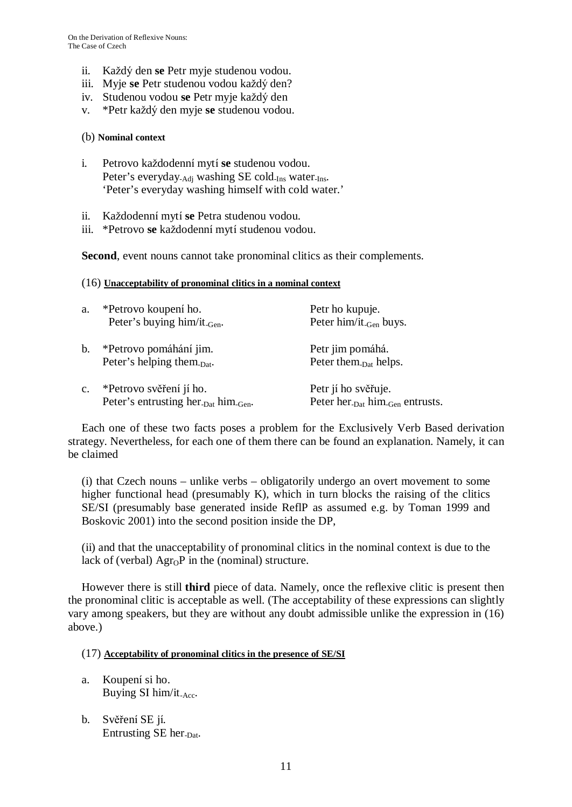- ii. Každý den **se** Petr myje studenou vodou.
- iii. Myje **se** Petr studenou vodou každý den?
- iv. Studenou vodou **se** Petr myje každý den
- v. \*Petr každý den myje **se** studenou vodou.

## (b) **Nominal context**

- i. Petrovo každodenní mytí **se** studenou vodou. Peter's everyday<sub>-Adi</sub> washing SE cold<sub>-Ins</sub> water<sub>-Ins</sub>. 'Peter's everyday washing himself with cold water.'
- ii. Každodenní mytí **se** Petra studenou vodou.
- iii. \*Petrovo **se** každodenní mytí studenou vodou.

**Second**, event nouns cannot take pronominal clitics as their complements.

## (16) **Unacceptability of pronominal clitics in a nominal context**

| a.             | *Petrovo koupení ho.<br>Peter's buying him/it <sub>-Gen</sub> .                         | Petr ho kupuje.<br>Peter $\lim/$ it <sub>-Gen</sub> buys.                      |
|----------------|-----------------------------------------------------------------------------------------|--------------------------------------------------------------------------------|
| b.             | *Petrovo pomáhání jim.<br>Peter's helping them-pat.                                     | Petr jim pomáhá.<br>Peter them- <sub>Dat</sub> helps.                          |
| $\mathbf{c}$ . | *Petrovo svěření jí ho.<br>Peter's entrusting her <sub>-Dat</sub> him <sub>-Gen</sub> . | Petr jí ho svěřuje.<br>Peter her. <sub>Dat</sub> him. <sub>Gen</sub> entrusts. |

Each one of these two facts poses a problem for the Exclusively Verb Based derivation strategy. Nevertheless, for each one of them there can be found an explanation. Namely, it can be claimed

(i) that Czech nouns – unlike verbs – obligatorily undergo an overt movement to some higher functional head (presumably K), which in turn blocks the raising of the clitics SE/SI (presumably base generated inside ReflP as assumed e.g. by Toman 1999 and Boskovic 2001) into the second position inside the DP,

(ii) and that the unacceptability of pronominal clitics in the nominal context is due to the lack of (verbal)  $\text{Agr}_0$ P in the (nominal) structure.

However there is still **third** piece of data. Namely, once the reflexive clitic is present then the pronominal clitic is acceptable as well. (The acceptability of these expressions can slightly vary among speakers, but they are without any doubt admissible unlike the expression in (16) above.)

# (17) **Acceptability of pronominal clitics in the presence of SE/SI**

- a. Koupení si ho. Buying SI him/it<sub>-Acc</sub>.
- b. Svěření SE jí. Entrusting SE her-Dat.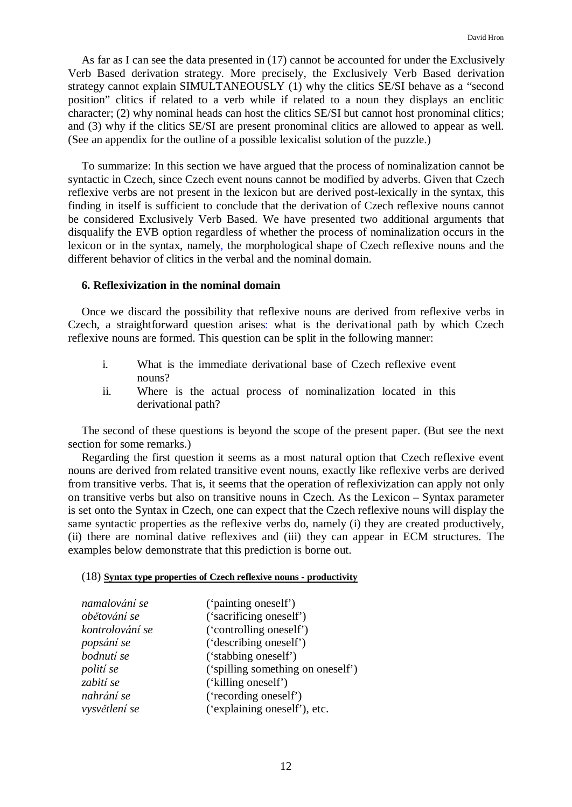As far as I can see the data presented in (17) cannot be accounted for under the Exclusively Verb Based derivation strategy. More precisely, the Exclusively Verb Based derivation strategy cannot explain SIMULTANEOUSLY (1) why the clitics SE/SI behave as a "second position" clitics if related to a verb while if related to a noun they displays an enclitic character; (2) why nominal heads can host the clitics SE/SI but cannot host pronominal clitics; and (3) why if the clitics SE/SI are present pronominal clitics are allowed to appear as well. (See an appendix for the outline of a possible lexicalist solution of the puzzle.)

To summarize: In this section we have argued that the process of nominalization cannot be syntactic in Czech, since Czech event nouns cannot be modified by adverbs. Given that Czech reflexive verbs are not present in the lexicon but are derived post-lexically in the syntax, this finding in itself is sufficient to conclude that the derivation of Czech reflexive nouns cannot be considered Exclusively Verb Based. We have presented two additional arguments that disqualify the EVB option regardless of whether the process of nominalization occurs in the lexicon or in the syntax, namely, the morphological shape of Czech reflexive nouns and the different behavior of clitics in the verbal and the nominal domain.

## **6. Reflexivization in the nominal domain**

Once we discard the possibility that reflexive nouns are derived from reflexive verbs in Czech, a straightforward question arises: what is the derivational path by which Czech reflexive nouns are formed. This question can be split in the following manner:

- i. What is the immediate derivational base of Czech reflexive event nouns?
- ii. Where is the actual process of nominalization located in this derivational path?

The second of these questions is beyond the scope of the present paper. (But see the next section for some remarks.)

Regarding the first question it seems as a most natural option that Czech reflexive event nouns are derived from related transitive event nouns, exactly like reflexive verbs are derived from transitive verbs. That is, it seems that the operation of reflexivization can apply not only on transitive verbs but also on transitive nouns in Czech. As the Lexicon – Syntax parameter is set onto the Syntax in Czech, one can expect that the Czech reflexive nouns will display the same syntactic properties as the reflexive verbs do, namely (i) they are created productively, (ii) there are nominal dative reflexives and (iii) they can appear in ECM structures. The examples below demonstrate that this prediction is borne out.

### (18) **Syntax type properties of Czech reflexive nouns - productivity**

| namalování se    | ('painting oneself')              |
|------------------|-----------------------------------|
| obětování se     | ('sacrificing oneself')           |
| kontrolování se  | ('controlling oneself')           |
| popsání se       | ('describing oneself')            |
| bodnutí se       | ('stabbing oneself')              |
| <i>polití</i> se | ('spilling something on oneself') |
| zabití se        | ('killing oneself')               |
| nahrání se       | ('recording oneself')             |
| vysvětlení se    | ('explaining oneself'), etc.      |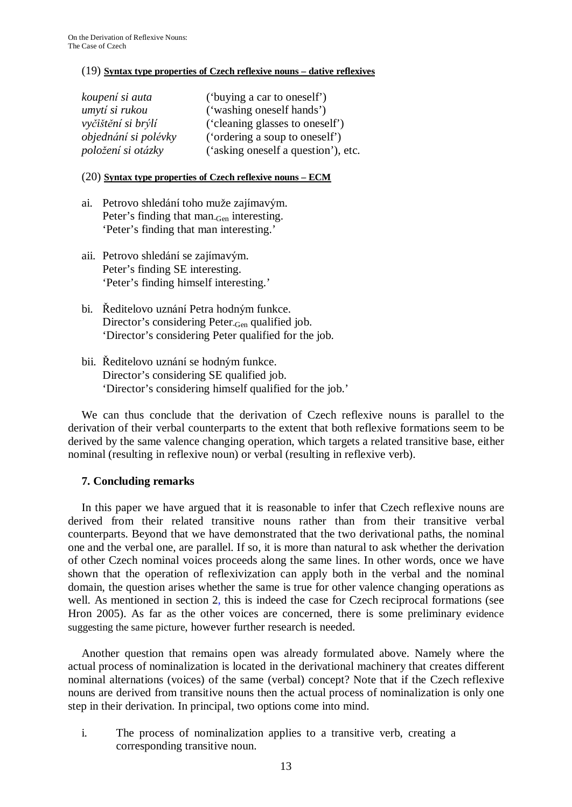# (19) **Syntax type properties of Czech reflexive nouns – dative reflexives**

| koupení si auta      | ('buying a car to oneself')         |
|----------------------|-------------------------------------|
| umytí si rukou       | ('washing oneself hands')           |
| vyčištění si brýlí   | ('cleaning glasses to oneself')     |
| objednání si polévky | ('ordering a soup to oneself')      |
| položení si otázky   | ('asking oneself a question'), etc. |

## (20) **Syntax type properties of Czech reflexive nouns – ECM**

- ai. Petrovo shledání toho muže zajímavým. Peter's finding that man<sub>-Gen</sub> interesting. 'Peter's finding that man interesting.'
- aii. Petrovo shledání se zajímavým. Peter's finding SE interesting. 'Peter's finding himself interesting.'
- bi. Ředitelovo uznání Petra hodným funkce. Director's considering Peter-Gen qualified job. 'Director's considering Peter qualified for the job.
- bii. Ředitelovo uznání se hodným funkce. Director's considering SE qualified job. 'Director's considering himself qualified for the job.'

We can thus conclude that the derivation of Czech reflexive nouns is parallel to the derivation of their verbal counterparts to the extent that both reflexive formations seem to be derived by the same valence changing operation, which targets a related transitive base, either nominal (resulting in reflexive noun) or verbal (resulting in reflexive verb).

# **7. Concluding remarks**

In this paper we have argued that it is reasonable to infer that Czech reflexive nouns are derived from their related transitive nouns rather than from their transitive verbal counterparts. Beyond that we have demonstrated that the two derivational paths, the nominal one and the verbal one, are parallel. If so, it is more than natural to ask whether the derivation of other Czech nominal voices proceeds along the same lines. In other words, once we have shown that the operation of reflexivization can apply both in the verbal and the nominal domain, the question arises whether the same is true for other valence changing operations as well. As mentioned in section 2, this is indeed the case for Czech reciprocal formations (see Hron 2005). As far as the other voices are concerned, there is some preliminary evidence suggesting the same picture, however further research is needed.

Another question that remains open was already formulated above. Namely where the actual process of nominalization is located in the derivational machinery that creates different nominal alternations (voices) of the same (verbal) concept? Note that if the Czech reflexive nouns are derived from transitive nouns then the actual process of nominalization is only one step in their derivation. In principal, two options come into mind.

i. The process of nominalization applies to a transitive verb, creating a corresponding transitive noun.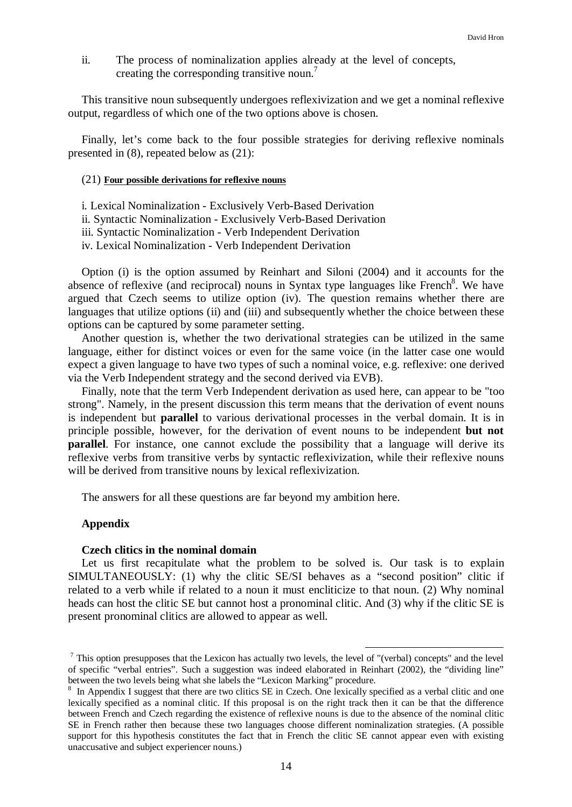ii. The process of nominalization applies already at the level of concepts, creating the corresponding transitive noun.<sup>7</sup>

This transitive noun subsequently undergoes reflexivization and we get a nominal reflexive output, regardless of which one of the two options above is chosen.

Finally, let's come back to the four possible strategies for deriving reflexive nominals presented in (8), repeated below as (21):

### (21) **Four possible derivations for reflexive nouns**

i. Lexical Nominalization - Exclusively Verb-Based Derivation ii. Syntactic Nominalization - Exclusively Verb-Based Derivation iii. Syntactic Nominalization - Verb Independent Derivation iv. Lexical Nominalization - Verb Independent Derivation

Option (i) is the option assumed by Reinhart and Siloni (2004) and it accounts for the absence of reflexive (and reciprocal) nouns in Syntax type languages like French<sup>8</sup>. We have argued that Czech seems to utilize option (iv). The question remains whether there are languages that utilize options (ii) and (iii) and subsequently whether the choice between these options can be captured by some parameter setting.

Another question is, whether the two derivational strategies can be utilized in the same language, either for distinct voices or even for the same voice (in the latter case one would expect a given language to have two types of such a nominal voice, e.g. reflexive: one derived via the Verb Independent strategy and the second derived via EVB).

Finally, note that the term Verb Independent derivation as used here, can appear to be "too strong". Namely, in the present discussion this term means that the derivation of event nouns is independent but **parallel** to various derivational processes in the verbal domain. It is in principle possible, however, for the derivation of event nouns to be independent **but not parallel**. For instance, one cannot exclude the possibility that a language will derive its reflexive verbs from transitive verbs by syntactic reflexivization, while their reflexive nouns will be derived from transitive nouns by lexical reflexivization.

The answers for all these questions are far beyond my ambition here.

### **Appendix**

#### **Czech clitics in the nominal domain**

Let us first recapitulate what the problem to be solved is. Our task is to explain SIMULTANEOUSLY: (1) why the clitic SE/SI behaves as a "second position" clitic if related to a verb while if related to a noun it must encliticize to that noun. (2) Why nominal heads can host the clitic SE but cannot host a pronominal clitic. And (3) why if the clitic SE is present pronominal clitics are allowed to appear as well.

 $<sup>7</sup>$  This option presupposes that the Lexicon has actually two levels, the level of "(verbal) concepts" and the level</sup> of specific "verbal entries". Such a suggestion was indeed elaborated in Reinhart (2002), the "dividing line" between the two levels being what she labels the "Lexicon Marking" procedure.

<sup>&</sup>lt;sup>8</sup> In Appendix I suggest that there are two clitics SE in Czech. One lexically specified as a verbal clitic and one lexically specified as a nominal clitic. If this proposal is on the right track then it can be that the difference between French and Czech regarding the existence of reflexive nouns is due to the absence of the nominal clitic SE in French rather then because these two languages choose different nominalization strategies. (A possible support for this hypothesis constitutes the fact that in French the clitic SE cannot appear even with existing unaccusative and subject experiencer nouns.)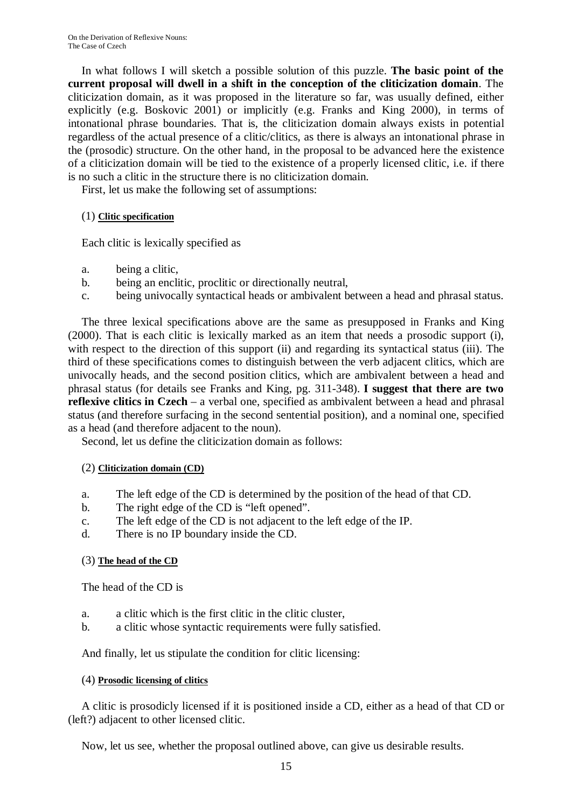In what follows I will sketch a possible solution of this puzzle. **The basic point of the current proposal will dwell in a shift in the conception of the cliticization domain**. The cliticization domain, as it was proposed in the literature so far, was usually defined, either explicitly (e.g. Boskovic 2001) or implicitly (e.g. Franks and King 2000), in terms of intonational phrase boundaries. That is, the cliticization domain always exists in potential regardless of the actual presence of a clitic/clitics, as there is always an intonational phrase in the (prosodic) structure. On the other hand, in the proposal to be advanced here the existence of a cliticization domain will be tied to the existence of a properly licensed clitic, i.e. if there is no such a clitic in the structure there is no cliticization domain.

First, let us make the following set of assumptions:

# (1) **Clitic specification**

Each clitic is lexically specified as

- a. being a clitic,
- b. being an enclitic, proclitic or directionally neutral,
- c. being univocally syntactical heads or ambivalent between a head and phrasal status.

The three lexical specifications above are the same as presupposed in Franks and King (2000). That is each clitic is lexically marked as an item that needs a prosodic support (i), with respect to the direction of this support (ii) and regarding its syntactical status (iii). The third of these specifications comes to distinguish between the verb adjacent clitics, which are univocally heads, and the second position clitics, which are ambivalent between a head and phrasal status (for details see Franks and King, pg. 311-348). **I suggest that there are two reflexive clitics in Czech** – a verbal one, specified as ambivalent between a head and phrasal status (and therefore surfacing in the second sentential position), and a nominal one, specified as a head (and therefore adjacent to the noun).

Second, let us define the cliticization domain as follows:

# (2) **Cliticization domain (CD)**

- a. The left edge of the CD is determined by the position of the head of that CD.
- b. The right edge of the CD is "left opened".
- c. The left edge of the CD is not adjacent to the left edge of the IP.
- d. There is no IP boundary inside the CD.

# (3) **The head of the CD**

The head of the CD is

- a. a clitic which is the first clitic in the clitic cluster,
- b. a clitic whose syntactic requirements were fully satisfied.

And finally, let us stipulate the condition for clitic licensing:

# (4) **Prosodic licensing of clitics**

A clitic is prosodicly licensed if it is positioned inside a CD, either as a head of that CD or (left?) adjacent to other licensed clitic.

Now, let us see, whether the proposal outlined above, can give us desirable results.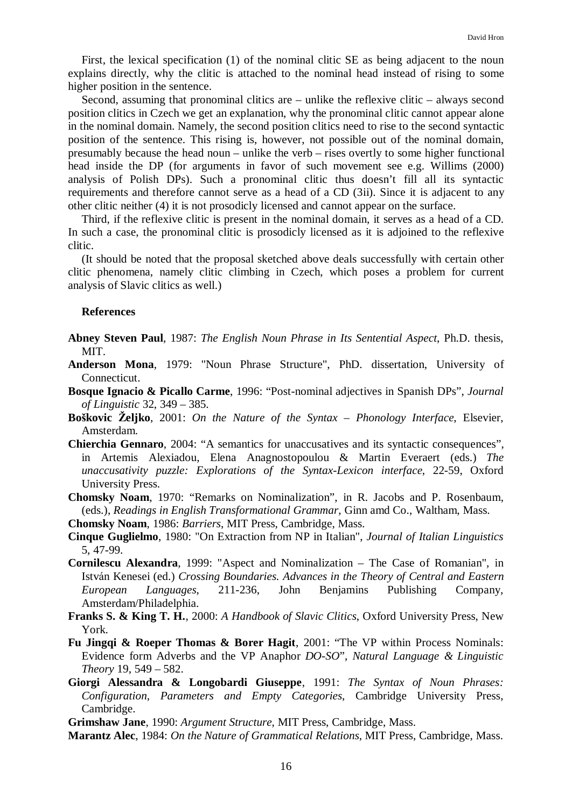First, the lexical specification (1) of the nominal clitic SE as being adjacent to the noun explains directly, why the clitic is attached to the nominal head instead of rising to some higher position in the sentence.

Second, assuming that pronominal clitics are – unlike the reflexive clitic – always second position clitics in Czech we get an explanation, why the pronominal clitic cannot appear alone in the nominal domain. Namely, the second position clitics need to rise to the second syntactic position of the sentence. This rising is, however, not possible out of the nominal domain, presumably because the head noun – unlike the verb – rises overtly to some higher functional head inside the DP (for arguments in favor of such movement see e.g. Willims (2000) analysis of Polish DPs). Such a pronominal clitic thus doesn't fill all its syntactic requirements and therefore cannot serve as a head of a CD (3ii). Since it is adjacent to any other clitic neither (4) it is not prosodicly licensed and cannot appear on the surface.

Third, if the reflexive clitic is present in the nominal domain, it serves as a head of a CD. In such a case, the pronominal clitic is prosodicly licensed as it is adjoined to the reflexive clitic.

(It should be noted that the proposal sketched above deals successfully with certain other clitic phenomena, namely clitic climbing in Czech, which poses a problem for current analysis of Slavic clitics as well.)

### **References**

- **Abney Steven Paul**, 1987: *The English Noun Phrase in Its Sentential Aspect*, Ph.D. thesis, MIT.
- **Anderson Mona**, 1979: "Noun Phrase Structure", PhD. dissertation, University of Connecticut.
- **Bosque Ignacio & Picallo Carme**, 1996: "Post-nominal adjectives in Spanish DPs", *Journal of Linguistic* 32, 349 – 385.
- **Boškovic Željko**, 2001: *On the Nature of the Syntax – Phonology Interface*, Elsevier, Amsterdam.
- **Chierchia Gennaro**, 2004: "A semantics for unaccusatives and its syntactic consequences", in Artemis Alexiadou, Elena Anagnostopoulou & Martin Everaert (eds.) *The unaccusativity puzzle: Explorations of the Syntax-Lexicon interface*, 22-59, Oxford University Press.
- **Chomsky Noam**, 1970: "Remarks on Nominalization", in R. Jacobs and P. Rosenbaum, (eds.), *Readings in English Transformational Grammar*, Ginn amd Co., Waltham, Mass.
- **Chomsky Noam**, 1986: *Barriers*, MIT Press, Cambridge, Mass.
- **Cinque Guglielmo**, 1980: "On Extraction from NP in Italian", *Journal of Italian Linguistics* 5, 47-99.
- **Cornilescu Alexandra**, 1999: "Aspect and Nominalization The Case of Romanian", in István Kenesei (ed.) *Crossing Boundaries. Advances in the Theory of Central and Eastern European Languages*, 211-236, John Benjamins Publishing Company, Amsterdam/Philadelphia.
- **Franks S. & King T. H.**, 2000: *A Handbook of Slavic Clitics*, Oxford University Press, New York.
- **Fu Jingqi & Roeper Thomas & Borer Hagit**, 2001: "The VP within Process Nominals: Evidence form Adverbs and the VP Anaphor *DO-SO*", *Natural Language & Linguistic Theory* 19, 549 – 582.
- **Giorgi Alessandra & Longobardi Giuseppe**, 1991: *The Syntax of Noun Phrases: Configuration, Parameters and Empty Categories*, Cambridge University Press, Cambridge.

**Grimshaw Jane**, 1990: *Argument Structure*, MIT Press, Cambridge, Mass.

**Marantz Alec**, 1984: *On the Nature of Grammatical Relations*, MIT Press, Cambridge, Mass.